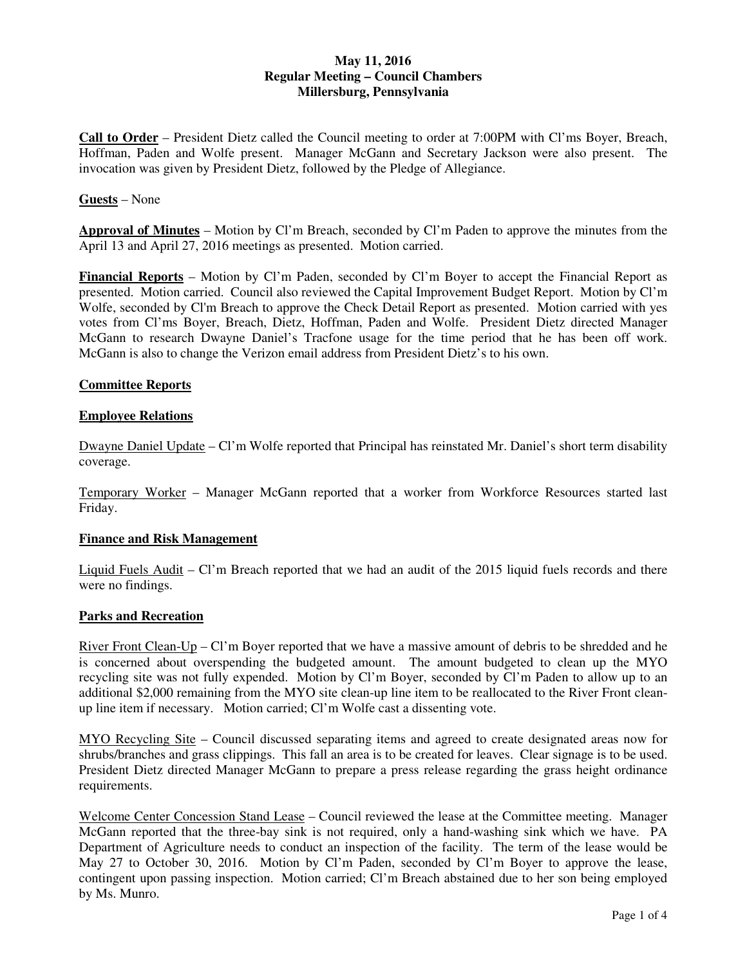# **May 11, 2016 Regular Meeting – Council Chambers Millersburg, Pennsylvania**

**Call to Order** – President Dietz called the Council meeting to order at 7:00PM with Cl'ms Boyer, Breach, Hoffman, Paden and Wolfe present. Manager McGann and Secretary Jackson were also present. The invocation was given by President Dietz, followed by the Pledge of Allegiance.

## **Guests** – None

**Approval of Minutes** – Motion by Cl'm Breach, seconded by Cl'm Paden to approve the minutes from the April 13 and April 27, 2016 meetings as presented. Motion carried.

**Financial Reports** – Motion by Cl'm Paden, seconded by Cl'm Boyer to accept the Financial Report as presented. Motion carried. Council also reviewed the Capital Improvement Budget Report. Motion by Cl'm Wolfe, seconded by Cl'm Breach to approve the Check Detail Report as presented. Motion carried with yes votes from Cl'ms Boyer, Breach, Dietz, Hoffman, Paden and Wolfe. President Dietz directed Manager McGann to research Dwayne Daniel's Tracfone usage for the time period that he has been off work. McGann is also to change the Verizon email address from President Dietz's to his own.

### **Committee Reports**

### **Employee Relations**

Dwayne Daniel Update – Cl'm Wolfe reported that Principal has reinstated Mr. Daniel's short term disability coverage.

Temporary Worker – Manager McGann reported that a worker from Workforce Resources started last Friday.

### **Finance and Risk Management**

Liquid Fuels Audit – Cl'm Breach reported that we had an audit of the 2015 liquid fuels records and there were no findings.

### **Parks and Recreation**

River Front Clean-Up – Cl'm Boyer reported that we have a massive amount of debris to be shredded and he is concerned about overspending the budgeted amount. The amount budgeted to clean up the MYO recycling site was not fully expended. Motion by Cl'm Boyer, seconded by Cl'm Paden to allow up to an additional \$2,000 remaining from the MYO site clean-up line item to be reallocated to the River Front cleanup line item if necessary. Motion carried; Cl'm Wolfe cast a dissenting vote.

MYO Recycling Site – Council discussed separating items and agreed to create designated areas now for shrubs/branches and grass clippings. This fall an area is to be created for leaves. Clear signage is to be used. President Dietz directed Manager McGann to prepare a press release regarding the grass height ordinance requirements.

Welcome Center Concession Stand Lease – Council reviewed the lease at the Committee meeting. Manager McGann reported that the three-bay sink is not required, only a hand-washing sink which we have. PA Department of Agriculture needs to conduct an inspection of the facility. The term of the lease would be May 27 to October 30, 2016. Motion by Cl'm Paden, seconded by Cl'm Boyer to approve the lease, contingent upon passing inspection. Motion carried; Cl'm Breach abstained due to her son being employed by Ms. Munro.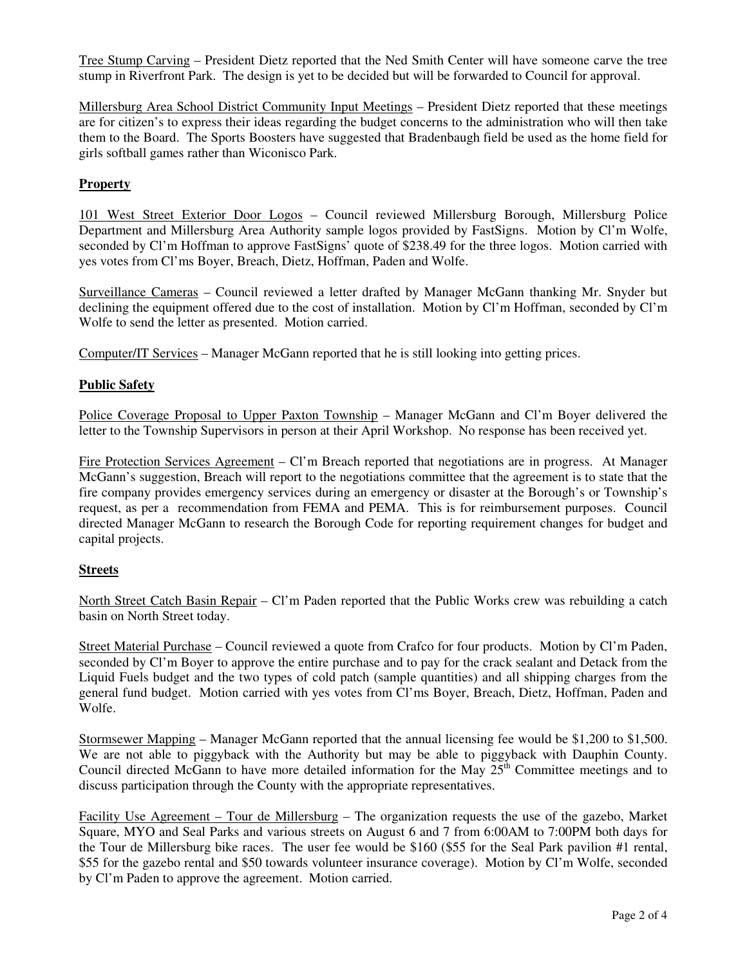Tree Stump Carving – President Dietz reported that the Ned Smith Center will have someone carve the tree stump in Riverfront Park. The design is yet to be decided but will be forwarded to Council for approval.

Millersburg Area School District Community Input Meetings – President Dietz reported that these meetings are for citizen's to express their ideas regarding the budget concerns to the administration who will then take them to the Board. The Sports Boosters have suggested that Bradenbaugh field be used as the home field for girls softball games rather than Wiconisco Park.

# **Property**

101 West Street Exterior Door Logos – Council reviewed Millersburg Borough, Millersburg Police Department and Millersburg Area Authority sample logos provided by FastSigns. Motion by Cl'm Wolfe, seconded by Cl'm Hoffman to approve FastSigns' quote of \$238.49 for the three logos. Motion carried with yes votes from Cl'ms Boyer, Breach, Dietz, Hoffman, Paden and Wolfe.

Surveillance Cameras – Council reviewed a letter drafted by Manager McGann thanking Mr. Snyder but declining the equipment offered due to the cost of installation. Motion by Cl'm Hoffman, seconded by Cl'm Wolfe to send the letter as presented. Motion carried.

Computer/IT Services – Manager McGann reported that he is still looking into getting prices.

### **Public Safety**

Police Coverage Proposal to Upper Paxton Township – Manager McGann and Cl'm Boyer delivered the letter to the Township Supervisors in person at their April Workshop. No response has been received yet.

Fire Protection Services Agreement – Cl'm Breach reported that negotiations are in progress. At Manager McGann's suggestion, Breach will report to the negotiations committee that the agreement is to state that the fire company provides emergency services during an emergency or disaster at the Borough's or Township's request, as per a recommendation from FEMA and PEMA. This is for reimbursement purposes. Council directed Manager McGann to research the Borough Code for reporting requirement changes for budget and capital projects.

## **Streets**

North Street Catch Basin Repair – Cl'm Paden reported that the Public Works crew was rebuilding a catch basin on North Street today.

Street Material Purchase – Council reviewed a quote from Crafco for four products. Motion by Cl'm Paden, seconded by Cl'm Boyer to approve the entire purchase and to pay for the crack sealant and Detack from the Liquid Fuels budget and the two types of cold patch (sample quantities) and all shipping charges from the general fund budget. Motion carried with yes votes from Cl'ms Boyer, Breach, Dietz, Hoffman, Paden and Wolfe.

Stormsewer Mapping – Manager McGann reported that the annual licensing fee would be \$1,200 to \$1,500. We are not able to piggyback with the Authority but may be able to piggyback with Dauphin County. Council directed McGann to have more detailed information for the May  $25<sup>th</sup>$  Committee meetings and to discuss participation through the County with the appropriate representatives.

Facility Use Agreement – Tour de Millersburg – The organization requests the use of the gazebo, Market Square, MYO and Seal Parks and various streets on August 6 and 7 from 6:00AM to 7:00PM both days for the Tour de Millersburg bike races. The user fee would be \$160 (\$55 for the Seal Park pavilion #1 rental, \$55 for the gazebo rental and \$50 towards volunteer insurance coverage). Motion by Cl'm Wolfe, seconded by Cl'm Paden to approve the agreement. Motion carried.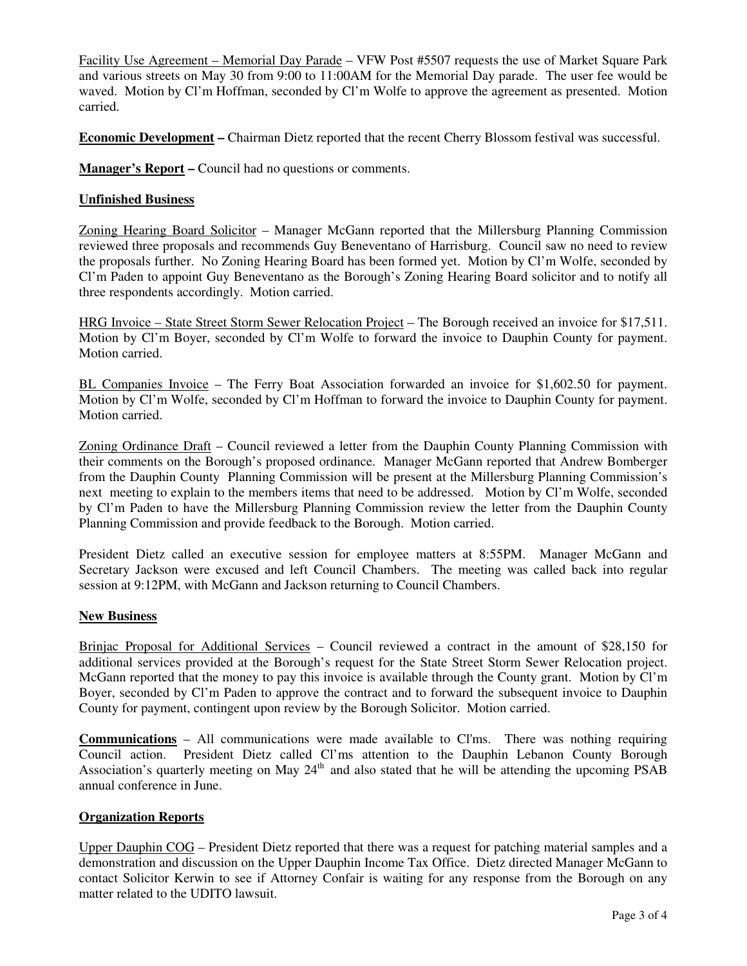Facility Use Agreement – Memorial Day Parade – VFW Post #5507 requests the use of Market Square Park and various streets on May 30 from 9:00 to 11:00AM for the Memorial Day parade. The user fee would be waved. Motion by Cl'm Hoffman, seconded by Cl'm Wolfe to approve the agreement as presented. Motion carried.

**Economic Development –** Chairman Dietz reported that the recent Cherry Blossom festival was successful.

**Manager's Report –** Council had no questions or comments.

## **Unfinished Business**

Zoning Hearing Board Solicitor – Manager McGann reported that the Millersburg Planning Commission reviewed three proposals and recommends Guy Beneventano of Harrisburg. Council saw no need to review the proposals further. No Zoning Hearing Board has been formed yet. Motion by Cl'm Wolfe, seconded by Cl'm Paden to appoint Guy Beneventano as the Borough's Zoning Hearing Board solicitor and to notify all three respondents accordingly. Motion carried.

HRG Invoice – State Street Storm Sewer Relocation Project – The Borough received an invoice for \$17,511. Motion by Cl'm Boyer, seconded by Cl'm Wolfe to forward the invoice to Dauphin County for payment. Motion carried.

BL Companies Invoice – The Ferry Boat Association forwarded an invoice for \$1,602.50 for payment. Motion by Cl'm Wolfe, seconded by Cl'm Hoffman to forward the invoice to Dauphin County for payment. Motion carried.

Zoning Ordinance Draft – Council reviewed a letter from the Dauphin County Planning Commission with their comments on the Borough's proposed ordinance. Manager McGann reported that Andrew Bomberger from the Dauphin County Planning Commission will be present at the Millersburg Planning Commission's next meeting to explain to the members items that need to be addressed. Motion by Cl'm Wolfe, seconded by Cl'm Paden to have the Millersburg Planning Commission review the letter from the Dauphin County Planning Commission and provide feedback to the Borough. Motion carried.

President Dietz called an executive session for employee matters at 8:55PM. Manager McGann and Secretary Jackson were excused and left Council Chambers. The meeting was called back into regular session at 9:12PM, with McGann and Jackson returning to Council Chambers.

## **New Business**

Brinjac Proposal for Additional Services – Council reviewed a contract in the amount of \$28,150 for additional services provided at the Borough's request for the State Street Storm Sewer Relocation project. McGann reported that the money to pay this invoice is available through the County grant. Motion by Cl'm Boyer, seconded by Cl'm Paden to approve the contract and to forward the subsequent invoice to Dauphin County for payment, contingent upon review by the Borough Solicitor. Motion carried.

**Communications** – All communications were made available to Cl'ms. There was nothing requiring Council action. President Dietz called Cl'ms attention to the Dauphin Lebanon County Borough Association's quarterly meeting on May  $24<sup>th</sup>$  and also stated that he will be attending the upcoming PSAB annual conference in June.

## **Organization Reports**

Upper Dauphin COG – President Dietz reported that there was a request for patching material samples and a demonstration and discussion on the Upper Dauphin Income Tax Office. Dietz directed Manager McGann to contact Solicitor Kerwin to see if Attorney Confair is waiting for any response from the Borough on any matter related to the UDITO lawsuit.